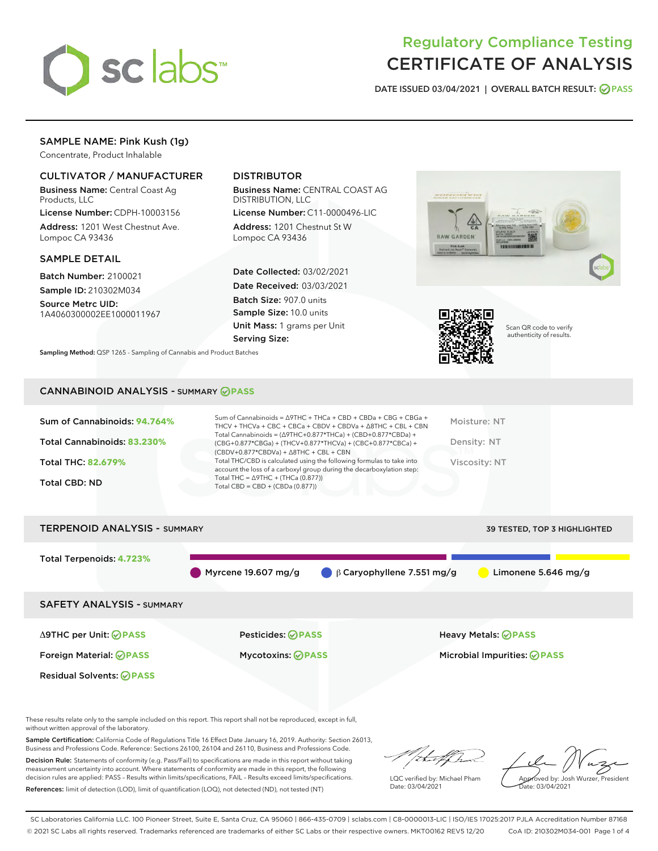

# Regulatory Compliance Testing CERTIFICATE OF ANALYSIS

DATE ISSUED 03/04/2021 | OVERALL BATCH RESULT: @ PASS

# SAMPLE NAME: Pink Kush (1g)

Concentrate, Product Inhalable

## CULTIVATOR / MANUFACTURER

Business Name: Central Coast Ag Products, LLC

License Number: CDPH-10003156 Address: 1201 West Chestnut Ave. Lompoc CA 93436

## SAMPLE DETAIL

Batch Number: 2100021 Sample ID: 210302M034

Source Metrc UID: 1A4060300002EE1000011967

## DISTRIBUTOR

Business Name: CENTRAL COAST AG DISTRIBUTION, LLC

License Number: C11-0000496-LIC Address: 1201 Chestnut St W Lompoc CA 93436

Date Collected: 03/02/2021 Date Received: 03/03/2021 Batch Size: 907.0 units Sample Size: 10.0 units Unit Mass: 1 grams per Unit Serving Size:





Scan QR code to verify authenticity of results.

CANNABINOID ANALYSIS - SUMMARY **PASS**

Sampling Method: QSP 1265 - Sampling of Cannabis and Product Batches

| Sum of Cannabinoids: 94.764% | Sum of Cannabinoids = $\triangle$ 9THC + THCa + CBD + CBDa + CBG + CBGa +<br>THCV + THCVa + CBC + CBCa + CBDV + CBDVa + $\Delta$ 8THC + CBL + CBN                                    | Moisture: NT  |
|------------------------------|--------------------------------------------------------------------------------------------------------------------------------------------------------------------------------------|---------------|
| Total Cannabinoids: 83.230%  | Total Cannabinoids = $(\Delta 9THC+0.877*THCa) + (CBD+0.877*CBDa) +$<br>(CBG+0.877*CBGa) + (THCV+0.877*THCVa) + (CBC+0.877*CBCa) +<br>$(CBDV+0.877*CBDVa) + \Delta 8THC + CBL + CBN$ | Density: NT   |
| <b>Total THC: 82.679%</b>    | Total THC/CBD is calculated using the following formulas to take into<br>account the loss of a carboxyl group during the decarboxylation step:                                       | Viscosity: NT |
| <b>Total CBD: ND</b>         | Total THC = $\triangle$ 9THC + (THCa (0.877))<br>Total CBD = CBD + (CBDa $(0.877)$ )                                                                                                 |               |
|                              |                                                                                                                                                                                      |               |



These results relate only to the sample included on this report. This report shall not be reproduced, except in full, without written approval of the laboratory.

Sample Certification: California Code of Regulations Title 16 Effect Date January 16, 2019. Authority: Section 26013, Business and Professions Code. Reference: Sections 26100, 26104 and 26110, Business and Professions Code.

Decision Rule: Statements of conformity (e.g. Pass/Fail) to specifications are made in this report without taking measurement uncertainty into account. Where statements of conformity are made in this report, the following decision rules are applied: PASS – Results within limits/specifications, FAIL – Results exceed limits/specifications. References: limit of detection (LOD), limit of quantification (LOQ), not detected (ND), not tested (NT)

that fCh

LQC verified by: Michael Pham Date: 03/04/2021

Approved by: Josh Wurzer, President ate: 03/04/2021

SC Laboratories California LLC. 100 Pioneer Street, Suite E, Santa Cruz, CA 95060 | 866-435-0709 | sclabs.com | C8-0000013-LIC | ISO/IES 17025:2017 PJLA Accreditation Number 87168 © 2021 SC Labs all rights reserved. Trademarks referenced are trademarks of either SC Labs or their respective owners. MKT00162 REV5 12/20 CoA ID: 210302M034-001 Page 1 of 4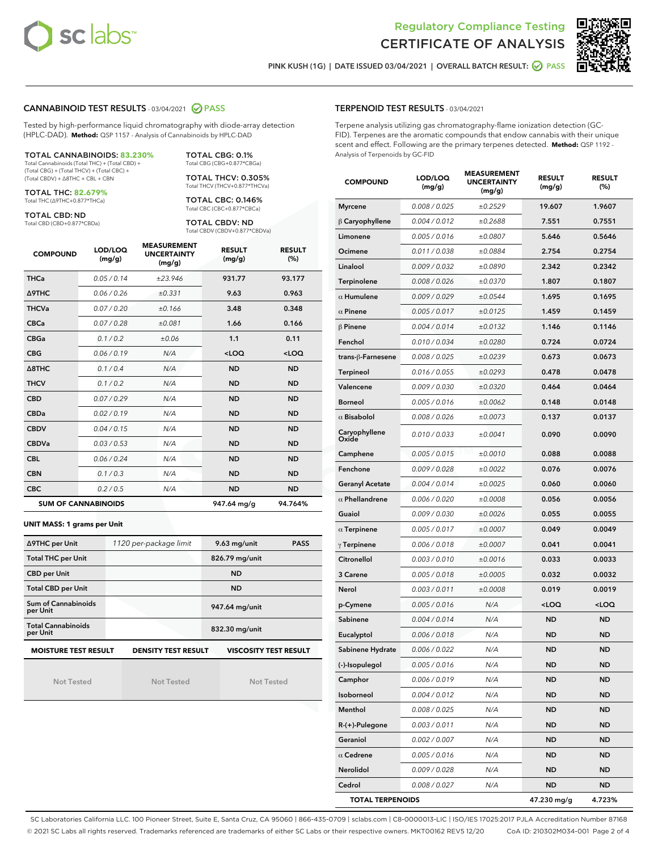



PINK KUSH (1G) | DATE ISSUED 03/04/2021 | OVERALL BATCH RESULT: 0 PASS

## CANNABINOID TEST RESULTS - 03/04/2021 2 PASS

Tested by high-performance liquid chromatography with diode-array detection (HPLC-DAD). **Method:** QSP 1157 - Analysis of Cannabinoids by HPLC-DAD

#### TOTAL CANNABINOIDS: **83.230%**

Total Cannabinoids (Total THC) + (Total CBD) + (Total CBG) + (Total THCV) + (Total CBC) + (Total CBDV) + ∆8THC + CBL + CBN

TOTAL THC: **82.679%** Total THC (∆9THC+0.877\*THCa)

TOTAL CBD: ND

Total CBD (CBD+0.877\*CBDa)

TOTAL CBG: 0.1% Total CBG (CBG+0.877\*CBGa) TOTAL THCV: 0.305%

Total THCV (THCV+0.877\*THCVa)

TOTAL CBC: 0.146% Total CBC (CBC+0.877\*CBCa)

TOTAL CBDV: ND Total CBDV (CBDV+0.877\*CBDVa)

| <b>COMPOUND</b> | LOD/LOQ<br>(mg/g)          | <b>MEASUREMENT</b><br><b>UNCERTAINTY</b><br>(mg/g) | <b>RESULT</b><br>(mg/g) | <b>RESULT</b><br>(%) |
|-----------------|----------------------------|----------------------------------------------------|-------------------------|----------------------|
| <b>THCa</b>     | 0.05/0.14                  | ±23.946                                            | 931.77                  | 93.177               |
| <b>A9THC</b>    | 0.06/0.26                  | ±0.331                                             | 9.63                    | 0.963                |
| <b>THCVa</b>    | 0.07/0.20                  | ±0.166                                             | 3.48                    | 0.348                |
| <b>CBCa</b>     | 0.07/0.28                  | ±0.081                                             | 1.66                    | 0.166                |
| <b>CBGa</b>     | 0.1/0.2                    | ±0.06                                              | 1.1                     | 0.11                 |
| <b>CBG</b>      | 0.06/0.19                  | N/A                                                | $<$ LOQ                 | $<$ LOQ              |
| A8THC           | 0.1/0.4                    | N/A                                                | <b>ND</b>               | <b>ND</b>            |
| <b>THCV</b>     | 0.1/0.2                    | N/A                                                | <b>ND</b>               | <b>ND</b>            |
| <b>CBD</b>      | 0.07/0.29                  | N/A                                                | <b>ND</b>               | <b>ND</b>            |
| <b>CBDa</b>     | 0.02/0.19                  | N/A                                                | <b>ND</b>               | <b>ND</b>            |
| <b>CBDV</b>     | 0.04/0.15                  | N/A                                                | <b>ND</b>               | <b>ND</b>            |
| <b>CBDVa</b>    | 0.03 / 0.53                | N/A                                                | <b>ND</b>               | <b>ND</b>            |
| <b>CBL</b>      | 0.06 / 0.24                | N/A                                                | <b>ND</b>               | <b>ND</b>            |
| <b>CBN</b>      | 0.1/0.3                    | N/A                                                | <b>ND</b>               | <b>ND</b>            |
| <b>CBC</b>      | 0.2 / 0.5                  | N/A                                                | <b>ND</b>               | <b>ND</b>            |
|                 | <b>SUM OF CANNABINOIDS</b> |                                                    | 947.64 mg/g             | 94.764%              |

#### **UNIT MASS: 1 grams per Unit**

| ∆9THC per Unit                                                                            | 1120 per-package limit | $9.63$ mg/unit | <b>PASS</b> |  |  |
|-------------------------------------------------------------------------------------------|------------------------|----------------|-------------|--|--|
| <b>Total THC per Unit</b>                                                                 |                        | 826.79 mg/unit |             |  |  |
| <b>CBD per Unit</b>                                                                       |                        | <b>ND</b>      |             |  |  |
| <b>Total CBD per Unit</b>                                                                 |                        | <b>ND</b>      |             |  |  |
| Sum of Cannabinoids<br>per Unit                                                           |                        | 947.64 mg/unit |             |  |  |
| <b>Total Cannabinoids</b><br>per Unit                                                     |                        | 832.30 mg/unit |             |  |  |
| <b>MOISTURE TEST RESULT</b><br><b>VISCOSITY TEST RESULT</b><br><b>DENSITY TEST RESULT</b> |                        |                |             |  |  |

Not Tested

Not Tested

Not Tested

## TERPENOID TEST RESULTS - 03/04/2021

Terpene analysis utilizing gas chromatography-flame ionization detection (GC-FID). Terpenes are the aromatic compounds that endow cannabis with their unique scent and effect. Following are the primary terpenes detected. **Method:** QSP 1192 - Analysis of Terpenoids by GC-FID

| <b>COMPOUND</b>         | LOD/LOQ<br>(mg/g) | <b>MEASUREMENT</b><br><b>UNCERTAINTY</b><br>(mg/g) | <b>RESULT</b><br>(mg/g)                         | <b>RESULT</b><br>(%) |
|-------------------------|-------------------|----------------------------------------------------|-------------------------------------------------|----------------------|
| <b>Myrcene</b>          | 0.008 / 0.025     | ±0.2529                                            | 19.607                                          | 1.9607               |
| $\upbeta$ Caryophyllene | 0.004 / 0.012     | ±0.2688                                            | 7.551                                           | 0.7551               |
| Limonene                | 0.005 / 0.016     | ±0.0807                                            | 5.646                                           | 0.5646               |
| Ocimene                 | 0.011 / 0.038     | ±0.0884                                            | 2.754                                           | 0.2754               |
| Linalool                | 0.009 / 0.032     | ±0.0890                                            | 2.342                                           | 0.2342               |
| Terpinolene             | 0.008 / 0.026     | ±0.0370                                            | 1.807                                           | 0.1807               |
| $\alpha$ Humulene       | 0.009 / 0.029     | ±0.0544                                            | 1.695                                           | 0.1695               |
| $\alpha$ Pinene         | 0.005 / 0.017     | ±0.0125                                            | 1.459                                           | 0.1459               |
| $\beta$ Pinene          | 0.004 / 0.014     | ±0.0132                                            | 1.146                                           | 0.1146               |
| Fenchol                 | 0.010 / 0.034     | ±0.0280                                            | 0.724                                           | 0.0724               |
| trans-ß-Farnesene       | 0.008 / 0.025     | ±0.0239                                            | 0.673                                           | 0.0673               |
| Terpineol               | 0.016 / 0.055     | ±0.0293                                            | 0.478                                           | 0.0478               |
| Valencene               | 0.009 / 0.030     | ±0.0320                                            | 0.464                                           | 0.0464               |
| <b>Borneol</b>          | 0.005 / 0.016     | ±0.0062                                            | 0.148                                           | 0.0148               |
| $\alpha$ Bisabolol      | 0.008 / 0.026     | ±0.0073                                            | 0.137                                           | 0.0137               |
| Caryophyllene<br>Oxide  | 0.010 / 0.033     | ±0.0041                                            | 0.090                                           | 0.0090               |
| Camphene                | 0.005 / 0.015     | ±0.0010                                            | 0.088                                           | 0.0088               |
| Fenchone                | 0.009 / 0.028     | ±0.0022                                            | 0.076                                           | 0.0076               |
| <b>Geranyl Acetate</b>  | 0.004 / 0.014     | ±0.0025                                            | 0.060                                           | 0.0060               |
| $\alpha$ Phellandrene   | 0.006 / 0.020     | ±0.0008                                            | 0.056                                           | 0.0056               |
| Guaiol                  | 0.009 / 0.030     | ±0.0026                                            | 0.055                                           | 0.0055               |
| $\alpha$ Terpinene      | 0.005 / 0.017     | ±0.0007                                            | 0.049                                           | 0.0049               |
| $\gamma$ Terpinene      | 0.006 / 0.018     | ±0.0007                                            | 0.041                                           | 0.0041               |
| Citronellol             | 0.003 / 0.010     | ±0.0016                                            | 0.033                                           | 0.0033               |
| 3 Carene                | 0.005 / 0.018     | ±0.0005                                            | 0.032                                           | 0.0032               |
| Nerol                   | 0.003 / 0.011     | ±0.0008                                            | 0.019                                           | 0.0019               |
| p-Cymene                | 0.005 / 0.016     | N/A                                                | <loq< th=""><th><loq< th=""></loq<></th></loq<> | <loq< th=""></loq<>  |
| Sabinene                | 0.004 / 0.014     | N/A                                                | ND                                              | <b>ND</b>            |
| Eucalyptol              | 0.006 / 0.018     | N/A                                                | <b>ND</b>                                       | ND                   |
| Sabinene Hydrate        | 0.006 / 0.022     | N/A                                                | ND                                              | <b>ND</b>            |
| (-)-Isopulegol          | 0.005 / 0.016     | N/A                                                | ND                                              | ND                   |
| Camphor                 | 0.006 / 0.019     | N/A                                                | ND                                              | ND                   |
| Isoborneol              | 0.004 / 0.012     | N/A                                                | ND                                              | ND                   |
| Menthol                 | 0.008 / 0.025     | N/A                                                | ND                                              | ND                   |
| R-(+)-Pulegone          | 0.003 / 0.011     | N/A                                                | ND                                              | ND                   |
| Geraniol                | 0.002 / 0.007     | N/A                                                | <b>ND</b>                                       | ND                   |
| $\alpha$ Cedrene        | 0.005 / 0.016     | N/A                                                | <b>ND</b>                                       | ND                   |
| Nerolidol               | 0.009 / 0.028     | N/A                                                | ND                                              | ND                   |
| Cedrol                  | 0.008 / 0.027     | N/A                                                | ND                                              | ND                   |
| <b>TOTAL TERPENOIDS</b> |                   |                                                    | 47.230 mg/g                                     | 4.723%               |

SC Laboratories California LLC. 100 Pioneer Street, Suite E, Santa Cruz, CA 95060 | 866-435-0709 | sclabs.com | C8-0000013-LIC | ISO/IES 17025:2017 PJLA Accreditation Number 87168 © 2021 SC Labs all rights reserved. Trademarks referenced are trademarks of either SC Labs or their respective owners. MKT00162 REV5 12/20 CoA ID: 210302M034-001 Page 2 of 4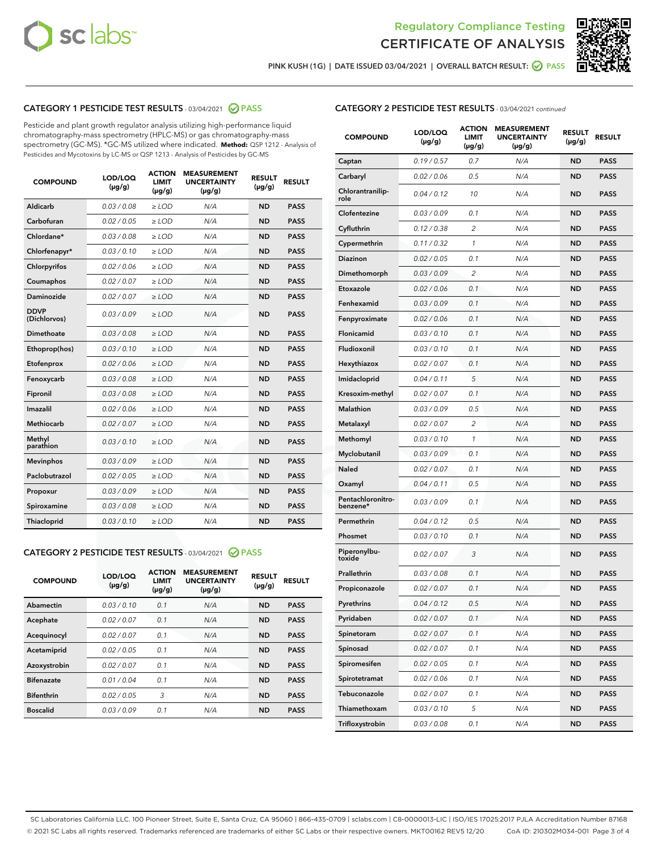



PINK KUSH (1G) | DATE ISSUED 03/04/2021 | OVERALL BATCH RESULT: 2 PASS

## CATEGORY 1 PESTICIDE TEST RESULTS - 03/04/2021 2 PASS

Pesticide and plant growth regulator analysis utilizing high-performance liquid chromatography-mass spectrometry (HPLC-MS) or gas chromatography-mass spectrometry (GC-MS). \*GC-MS utilized where indicated. **Method:** QSP 1212 - Analysis of Pesticides and Mycotoxins by LC-MS or QSP 1213 - Analysis of Pesticides by GC-MS

| <b>COMPOUND</b>             | LOD/LOQ<br>$(\mu g/g)$ | <b>ACTION</b><br><b>LIMIT</b><br>$(\mu g/g)$ | <b>MEASUREMENT</b><br><b>UNCERTAINTY</b><br>$(\mu g/g)$ | <b>RESULT</b><br>$(\mu g/g)$ | <b>RESULT</b> |
|-----------------------------|------------------------|----------------------------------------------|---------------------------------------------------------|------------------------------|---------------|
| Aldicarb                    | 0.03 / 0.08            | $\ge$ LOD                                    | N/A                                                     | <b>ND</b>                    | <b>PASS</b>   |
| Carbofuran                  | 0.02 / 0.05            | $\ge$ LOD                                    | N/A                                                     | <b>ND</b>                    | <b>PASS</b>   |
| Chlordane*                  | 0.03/0.08              | $\ge$ LOD                                    | N/A                                                     | <b>ND</b>                    | <b>PASS</b>   |
| Chlorfenapyr*               | 0.03/0.10              | $\ge$ LOD                                    | N/A                                                     | <b>ND</b>                    | <b>PASS</b>   |
| Chlorpyrifos                | 0.02 / 0.06            | $\ge$ LOD                                    | N/A                                                     | <b>ND</b>                    | <b>PASS</b>   |
| Coumaphos                   | 0.02 / 0.07            | $\ge$ LOD                                    | N/A                                                     | <b>ND</b>                    | <b>PASS</b>   |
| Daminozide                  | 0.02/0.07              | $>$ LOD                                      | N/A                                                     | <b>ND</b>                    | <b>PASS</b>   |
| <b>DDVP</b><br>(Dichlorvos) | 0.03/0.09              | $>$ LOD                                      | N/A                                                     | <b>ND</b>                    | <b>PASS</b>   |
| Dimethoate                  | 0.03/0.08              | $\ge$ LOD                                    | N/A                                                     | <b>ND</b>                    | <b>PASS</b>   |
| Ethoprop(hos)               | 0.03/0.10              | $>$ LOD                                      | N/A                                                     | <b>ND</b>                    | <b>PASS</b>   |
| Etofenprox                  | 0.02 / 0.06            | $\ge$ LOD                                    | N/A                                                     | <b>ND</b>                    | <b>PASS</b>   |
| Fenoxycarb                  | 0.03/0.08              | $\ge$ LOD                                    | N/A                                                     | <b>ND</b>                    | <b>PASS</b>   |
| Fipronil                    | 0.03/0.08              | $>$ LOD                                      | N/A                                                     | <b>ND</b>                    | <b>PASS</b>   |
| Imazalil                    | 0.02 / 0.06            | $\ge$ LOD                                    | N/A                                                     | <b>ND</b>                    | <b>PASS</b>   |
| Methiocarb                  | 0.02 / 0.07            | $\ge$ LOD                                    | N/A                                                     | <b>ND</b>                    | <b>PASS</b>   |
| Methyl<br>parathion         | 0.03/0.10              | $\ge$ LOD                                    | N/A                                                     | <b>ND</b>                    | <b>PASS</b>   |
| <b>Mevinphos</b>            | 0.03/0.09              | $\ge$ LOD                                    | N/A                                                     | <b>ND</b>                    | <b>PASS</b>   |
| Paclobutrazol               | 0.02 / 0.05            | $\ge$ LOD                                    | N/A                                                     | <b>ND</b>                    | <b>PASS</b>   |
| Propoxur                    | 0.03/0.09              | $\ge$ LOD                                    | N/A                                                     | <b>ND</b>                    | <b>PASS</b>   |
| Spiroxamine                 | 0.03 / 0.08            | $\ge$ LOD                                    | N/A                                                     | <b>ND</b>                    | <b>PASS</b>   |
| Thiacloprid                 | 0.03/0.10              | $\ge$ LOD                                    | N/A                                                     | <b>ND</b>                    | <b>PASS</b>   |

## CATEGORY 2 PESTICIDE TEST RESULTS - 03/04/2021 @ PASS

| <b>COMPOUND</b>   | LOD/LOQ<br>$(\mu g/g)$ | <b>ACTION</b><br><b>LIMIT</b><br>$(\mu g/g)$ | <b>MEASUREMENT</b><br><b>UNCERTAINTY</b><br>$(\mu g/g)$ | <b>RESULT</b><br>$(\mu g/g)$ | <b>RESULT</b> |
|-------------------|------------------------|----------------------------------------------|---------------------------------------------------------|------------------------------|---------------|
| Abamectin         | 0.03/0.10              | 0.1                                          | N/A                                                     | <b>ND</b>                    | <b>PASS</b>   |
| Acephate          | 0.02/0.07              | 0.1                                          | N/A                                                     | <b>ND</b>                    | <b>PASS</b>   |
| Acequinocyl       | 0.02/0.07              | 0.1                                          | N/A                                                     | <b>ND</b>                    | <b>PASS</b>   |
| Acetamiprid       | 0.02/0.05              | 0.1                                          | N/A                                                     | <b>ND</b>                    | <b>PASS</b>   |
| Azoxystrobin      | 0.02/0.07              | 0.1                                          | N/A                                                     | <b>ND</b>                    | <b>PASS</b>   |
| <b>Bifenazate</b> | 0.01/0.04              | 0.1                                          | N/A                                                     | <b>ND</b>                    | <b>PASS</b>   |
| <b>Bifenthrin</b> | 0.02/0.05              | 3                                            | N/A                                                     | <b>ND</b>                    | <b>PASS</b>   |
| <b>Boscalid</b>   | 0.03/0.09              | 0.1                                          | N/A                                                     | <b>ND</b>                    | <b>PASS</b>   |

|  | <b>CATEGORY 2 PESTICIDE TEST RESULTS</b> - 03/04/2021 continued |  |
|--|-----------------------------------------------------------------|--|
|--|-----------------------------------------------------------------|--|

| <b>COMPOUND</b>               | LOD/LOQ<br>(µg/g) | <b>ACTION</b><br><b>LIMIT</b><br>$(\mu g/g)$ | <b>MEASUREMENT</b><br><b>UNCERTAINTY</b><br>(µg/g) | <b>RESULT</b><br>(µg/g) | <b>RESULT</b> |
|-------------------------------|-------------------|----------------------------------------------|----------------------------------------------------|-------------------------|---------------|
| Captan                        | 0.19/0.57         | 0.7                                          | N/A                                                | <b>ND</b>               | <b>PASS</b>   |
| Carbaryl                      | 0.02 / 0.06       | 0.5                                          | N/A                                                | <b>ND</b>               | <b>PASS</b>   |
| Chlorantranilip-<br>role      | 0.04 / 0.12       | 10                                           | N/A                                                | ND                      | <b>PASS</b>   |
| Clofentezine                  | 0.03 / 0.09       | 0.1                                          | N/A                                                | <b>ND</b>               | <b>PASS</b>   |
| Cyfluthrin                    | 0.12 / 0.38       | $\overline{2}$                               | N/A                                                | <b>ND</b>               | <b>PASS</b>   |
| Cypermethrin                  | 0.11 / 0.32       | 1                                            | N/A                                                | <b>ND</b>               | <b>PASS</b>   |
| Diazinon                      | 0.02 / 0.05       | 0.1                                          | N/A                                                | ND                      | <b>PASS</b>   |
| Dimethomorph                  | 0.03 / 0.09       | 2                                            | N/A                                                | <b>ND</b>               | <b>PASS</b>   |
| Etoxazole                     | 0.02 / 0.06       | 0.1                                          | N/A                                                | <b>ND</b>               | <b>PASS</b>   |
| Fenhexamid                    | 0.03 / 0.09       | 0.1                                          | N/A                                                | <b>ND</b>               | <b>PASS</b>   |
| Fenpyroximate                 | 0.02 / 0.06       | 0.1                                          | N/A                                                | <b>ND</b>               | <b>PASS</b>   |
| Flonicamid                    | 0.03 / 0.10       | 0.1                                          | N/A                                                | <b>ND</b>               | <b>PASS</b>   |
| Fludioxonil                   | 0.03 / 0.10       | 0.1                                          | N/A                                                | ND                      | <b>PASS</b>   |
| Hexythiazox                   | 0.02 / 0.07       | 0.1                                          | N/A                                                | <b>ND</b>               | <b>PASS</b>   |
| Imidacloprid                  | 0.04 / 0.11       | 5                                            | N/A                                                | <b>ND</b>               | <b>PASS</b>   |
| Kresoxim-methyl               | 0.02 / 0.07       | 0.1                                          | N/A                                                | <b>ND</b>               | <b>PASS</b>   |
| Malathion                     | 0.03/0.09         | 0.5                                          | N/A                                                | <b>ND</b>               | <b>PASS</b>   |
| Metalaxyl                     | 0.02 / 0.07       | 2                                            | N/A                                                | <b>ND</b>               | <b>PASS</b>   |
| Methomyl                      | 0.03 / 0.10       | 1                                            | N/A                                                | ND                      | <b>PASS</b>   |
| Myclobutanil                  | 0.03 / 0.09       | 0.1                                          | N/A                                                | <b>ND</b>               | <b>PASS</b>   |
| Naled                         | 0.02 / 0.07       | 0.1                                          | N/A                                                | <b>ND</b>               | <b>PASS</b>   |
| Oxamyl                        | 0.04 / 0.11       | 0.5                                          | N/A                                                | ND                      | <b>PASS</b>   |
| Pentachloronitro-<br>benzene* | 0.03 / 0.09       | 0.1                                          | N/A                                                | <b>ND</b>               | <b>PASS</b>   |
| Permethrin                    | 0.04 / 0.12       | 0.5                                          | N/A                                                | <b>ND</b>               | <b>PASS</b>   |
| Phosmet                       | 0.03 / 0.10       | 0.1                                          | N/A                                                | <b>ND</b>               | <b>PASS</b>   |
| Piperonylbu-<br>toxide        | 0.02 / 0.07       | 3                                            | N/A                                                | <b>ND</b>               | <b>PASS</b>   |
| Prallethrin                   | 0.03 / 0.08       | 0.1                                          | N/A                                                | <b>ND</b>               | <b>PASS</b>   |
| Propiconazole                 | 0.02 / 0.07       | 0.1                                          | N/A                                                | <b>ND</b>               | <b>PASS</b>   |
| Pyrethrins                    | 0.04 / 0.12       | 0.5                                          | N/A                                                | ND                      | PASS          |
| Pyridaben                     | 0.02 / 0.07       | 0.1                                          | N/A                                                | ND                      | PASS          |
| Spinetoram                    | 0.02 / 0.07       | 0.1                                          | N/A                                                | <b>ND</b>               | <b>PASS</b>   |
| Spinosad                      | 0.02 / 0.07       | 0.1                                          | N/A                                                | ND                      | <b>PASS</b>   |
| Spiromesifen                  | 0.02 / 0.05       | 0.1                                          | N/A                                                | <b>ND</b>               | <b>PASS</b>   |
| Spirotetramat                 | 0.02 / 0.06       | 0.1                                          | N/A                                                | <b>ND</b>               | <b>PASS</b>   |
| Tebuconazole                  | 0.02 / 0.07       | 0.1                                          | N/A                                                | ND                      | <b>PASS</b>   |
| Thiamethoxam                  | 0.03 / 0.10       | 5                                            | N/A                                                | <b>ND</b>               | <b>PASS</b>   |
| Trifloxystrobin               | 0.03 / 0.08       | 0.1                                          | N/A                                                | <b>ND</b>               | <b>PASS</b>   |